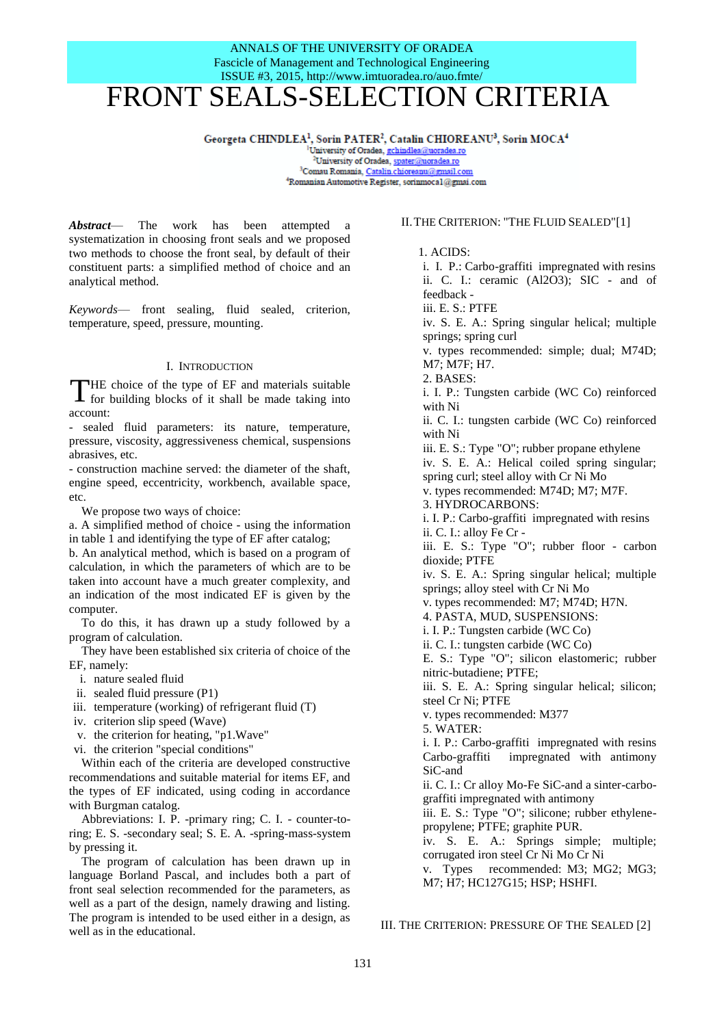## ANNALS OF THE UNIVERSITY OF ORADEA Fascicle of Management and Technological Engineering ISSUE #3, 2015, http://www.imtuoradea.ro/auo.fmte/ FRONT SEALS-SELECTION CRITERIA

**Georgeta CHINDLEA<sup>1</sup> , Sorin PATER<sup>2</sup> ,** 

<sup>1</sup>University of Oradea, <u>gchindlea@uoradea.ro</u><br>— <sup>2</sup>University of Oradea, <u>spater@uoradea.ro</u> <sup>3</sup>Comau Romania, Catalin.chioreanu@gmail.com <sup>4</sup>Romanian Automotive Register, sorinmocal@gmai.com

*Abstract*— The work has been attempted a systematization in choosing front seals and we proposed two methods to choose the front seal, by default of their constituent parts: a simplified method of choice and an analytical method.

*Keywords*— front sealing, fluid sealed, criterion, temperature, speed, pressure, mounting.

### I. INTRODUCTION

HE choice of the type of EF and materials suitable THE choice of the type of EF and materials suitable<br>for building blocks of it shall be made taking into account:

- sealed fluid parameters: its nature, temperature, pressure, viscosity, aggressiveness chemical, suspensions abrasives, etc.

- construction machine served: the diameter of the shaft, engine speed, eccentricity, workbench, available space, etc.

We propose two ways of choice:

a. A simplified method of choice - using the information in table 1 and identifying the type of EF after catalog;

b. An analytical method, which is based on a program of calculation, in which the parameters of which are to be taken into account have a much greater complexity, and an indication of the most indicated EF is given by the computer.

To do this, it has drawn up a study followed by a program of calculation.

They have been established six criteria of choice of the EF, namely:

i. nature sealed fluid

- ii. sealed fluid pressure (P1)
- iii. temperature (working) of refrigerant fluid (T)
- iv. criterion slip speed (Wave)
- v. the criterion for heating, "p1.Wave"
- vi. the criterion "special conditions"

Within each of the criteria are developed constructive recommendations and suitable material for items EF, and the types of EF indicated, using coding in accordance with Burgman catalog.

Abbreviations: I. P. -primary ring; C. I. - counter-toring; E. S. -secondary seal; S. E. A. -spring-mass-system by pressing it.

The program of calculation has been drawn up in language Borland Pascal, and includes both a part of front seal selection recommended for the parameters, as well as a part of the design, namely drawing and listing. The program is intended to be used either in a design, as well as in the educational.

## II.THE CRITERION: "THE FLUID SEALED"[1]

1. ACIDS:

i. I. P.: Carbo-graffiti impregnated with resins ii. C. I.: ceramic (Al2O3); SIC - and of feedback iii. E. S.: PTFE iv. S. E. A.: Spring singular helical; multiple springs; spring curl v. types recommended: simple; dual; M74D; M7; M7F; H7. 2. BASES: i. I. P.: Tungsten carbide (WC Co) reinforced with Ni ii. C. I.: tungsten carbide (WC Co) reinforced with Ni iii. E. S.: Type "O"; rubber propane ethylene iv. S. E. A.: Helical coiled spring singular; spring curl; steel alloy with Cr Ni Mo v. types recommended: M74D; M7; M7F. 3. HYDROCARBONS: i. I. P.: Carbo-graffiti impregnated with resins ii. C. I.: alloy Fe Cr iii. E. S.: Type "O"; rubber floor - carbon dioxide; PTFE iv. S. E. A.: Spring singular helical; multiple springs; alloy steel with Cr Ni Mo v. types recommended: M7; M74D; H7N. 4. PASTA, MUD, SUSPENSIONS: i. I. P.: Tungsten carbide (WC Co) ii. C. I.: tungsten carbide (WC Co) E. S.: Type "O"; silicon elastomeric; rubber nitric-butadiene; PTFE; iii. S. E. A.: Spring singular helical; silicon; steel Cr Ni; PTFE v. types recommended: M377 5. WATER: i. I. P.: Carbo-graffiti impregnated with resins Carbo-graffiti impregnated with antimony SiC-and ii. C. I.: Cr alloy Mo-Fe SiC-and a sinter-carbograffiti impregnated with antimony iii. E. S.: Type "O"; silicone; rubber ethylenepropylene; PTFE; graphite PUR. iv. S. E. A.: Springs simple; multiple; corrugated iron steel Cr Ni Mo Cr Ni v. Types recommended: M3; MG2; MG3; M7; H7; HC127G15; HSP; HSHFI.

III. THE CRITERION: PRESSURE OF THE SEALED [2]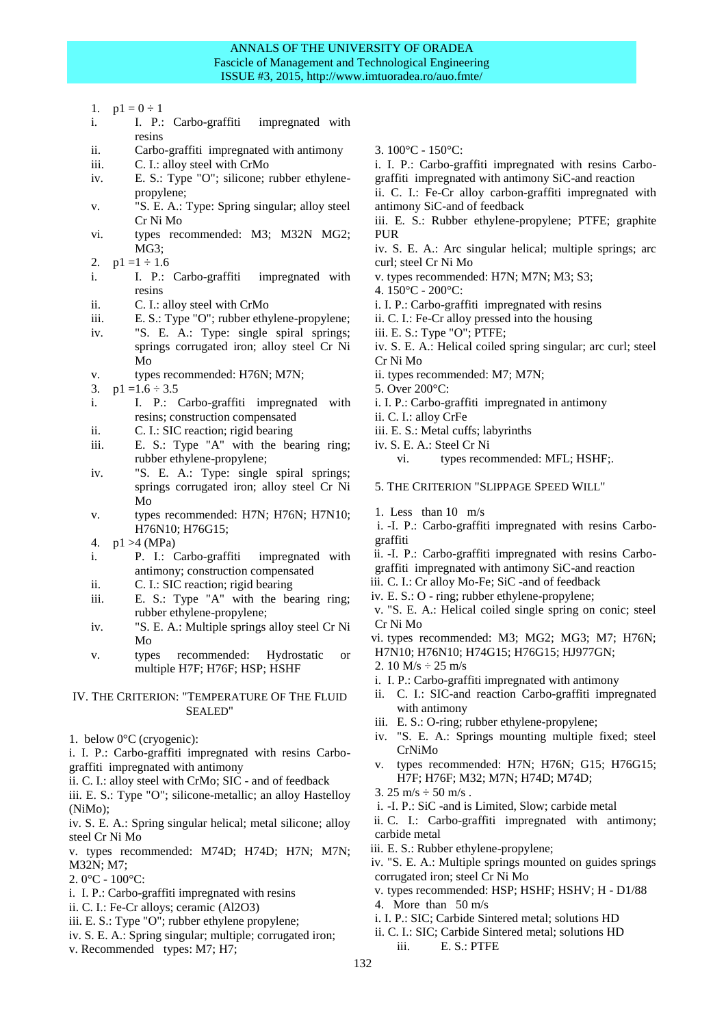## ANNALS OF THE UNIVERSITY OF ORADEA Fascicle of Management and Technological Engineering ISSUE #3, 2015, http://www.imtuoradea.ro/auo.fmte/

- 1.  $p1 = 0 \div 1$
- i. I. P.: Carbo-graffiti impregnated with resins
- ii. Carbo-graffiti impregnated with antimony
- iii. C. I.: alloy steel with CrMo
- iv. E. S.: Type "O"; silicone; rubber ethylenepropylene;
- v. "S. E. A.: Type: Spring singular; alloy steel Cr Ni Mo
- vi. types recommended: M3; M32N MG2; MG3;
- 2.  $p1 = 1 \div 1.6$
- i. I. P.: Carbo-graffiti impregnated with resins
- ii. C. I.: alloy steel with CrMo
- iii. E. S.: Type "O"; rubber ethylene-propylene;
- iv. "S. E. A.: Type: single spiral springs; springs corrugated iron; alloy steel Cr Ni Mo
- v. types recommended: H76N; M7N;
- 3.  $p1 = 1.6 \div 3.5$
- i. I. P.: Carbo-graffiti impregnated with resins; construction compensated
- ii. C. I.: SIC reaction; rigid bearing
- iii. E. S.: Type "A" with the bearing ring; rubber ethylene-propylene;
- iv. "S. E. A.: Type: single spiral springs; springs corrugated iron; alloy steel Cr Ni Mo
- v. types recommended: H7N; H76N; H7N10; H76N10; H76G15;
- 4. p1 >4 (MPa)
- i. P. I.: Carbo-graffiti impregnated with antimony; construction compensated
- ii. C. I.: SIC reaction; rigid bearing
- iii. E. S.: Type "A" with the bearing ring; rubber ethylene-propylene;
- iv. "S. E. A.: Multiple springs alloy steel Cr Ni Mo
- v. types recommended: Hydrostatic or multiple H7F; H76F; HSP; HSHF

## IV. THE CRITERION: "TEMPERATURE OF THE FLUID SEALED"

1. below 0°C (cryogenic):

i. I. P.: Carbo-graffiti impregnated with resins Carbograffiti impregnated with antimony

ii. C. I.: alloy steel with CrMo; SIC - and of feedback

iii. E. S.: Type "O"; silicone-metallic; an alloy Hastelloy (NiMo);

iv. S. E. A.: Spring singular helical; metal silicone; alloy steel Cr Ni Mo

v. types recommended: M74D; H74D; H7N; M7N; M32N; M7;

- $2.0^{\circ}$ C  $100^{\circ}$ C:
- i. I. P.: Carbo-graffiti impregnated with resins
- ii. C. I.: Fe-Cr alloys; ceramic (Al2O3)
- iii. E. S.: Type "O"; rubber ethylene propylene;
- iv. S. E. A.: Spring singular; multiple; corrugated iron;
- v. Recommended types: M7; H7;
- 3. 100°C 150°C:
- i. I. P.: Carbo-graffiti impregnated with resins Carbograffiti impregnated with antimony SiC-and reaction
- ii. C. I.: Fe-Cr alloy carbon-graffiti impregnated with antimony SiC-and of feedback
- iii. E. S.: Rubber ethylene-propylene; PTFE; graphite PUR

iv. S. E. A.: Arc singular helical; multiple springs; arc curl; steel Cr Ni Mo

- v. types recommended: H7N; M7N; M3; S3;
- 4. 150°C 200°C:
- i. I. P.: Carbo-graffiti impregnated with resins
- ii. C. I.: Fe-Cr alloy pressed into the housing
- iii. E. S.: Type "O"; PTFE;
- iv. S. E. A.: Helical coiled spring singular; arc curl; steel Cr Ni Mo
- ii. types recommended: M7; M7N;
- 5. Over 200°C:
- i. I. P.: Carbo-graffiti impregnated in antimony
- ii. C. I.: alloy CrFe
- iii. E. S.: Metal cuffs; labyrinths
- iv. S. E. A.: Steel Cr Ni
	- vi. types recommended: MFL; HSHF;.
- 5. THE CRITERION "SLIPPAGE SPEED WILL"
- 1. Less than 10 m/s
- i. -I. P.: Carbo-graffiti impregnated with resins Carbograffiti
- ii. -I. P.: Carbo-graffiti impregnated with resins Carbograffiti impregnated with antimony SiC-and reaction
- iii. C. I.: Cr alloy Mo-Fe; SiC -and of feedback
- iv. E. S.: O ring; rubber ethylene-propylene;
- v. "S. E. A.: Helical coiled single spring on conic; steel Cr Ni Mo
- vi. types recommended: M3; MG2; MG3; M7; H76N; H7N10; H76N10; H74G15; H76G15; HJ977GN;
- 2. 10  $M/s \div 25$  m/s
- i. I. P.: Carbo-graffiti impregnated with antimony
- ii. C. I.: SIC-and reaction Carbo-graffiti impregnated with antimony
- iii. E. S.: O-ring; rubber ethylene-propylene;
- iv. "S. E. A.: Springs mounting multiple fixed; steel CrNiMo
- v. types recommended: H7N; H76N; G15; H76G15; H7F; H76F; M32; M7N; H74D; M74D;
- 3. 25 m/s  $\div$  50 m/s.
- i. -I. P.: SiC -and is Limited, Slow; carbide metal
- ii. C. I.: Carbo-graffiti impregnated with antimony; carbide metal
- iii. E. S.: Rubber ethylene-propylene;
- iv. "S. E. A.: Multiple springs mounted on guides springs corrugated iron; steel Cr Ni Mo
- v. types recommended: HSP; HSHF; HSHV; H D1/88
- 4. More than 50 m/s
- i. I. P.: SIC; Carbide Sintered metal; solutions HD
- ii. C. I.: SIC; Carbide Sintered metal; solutions HD
	- iii. E. S.: PTFE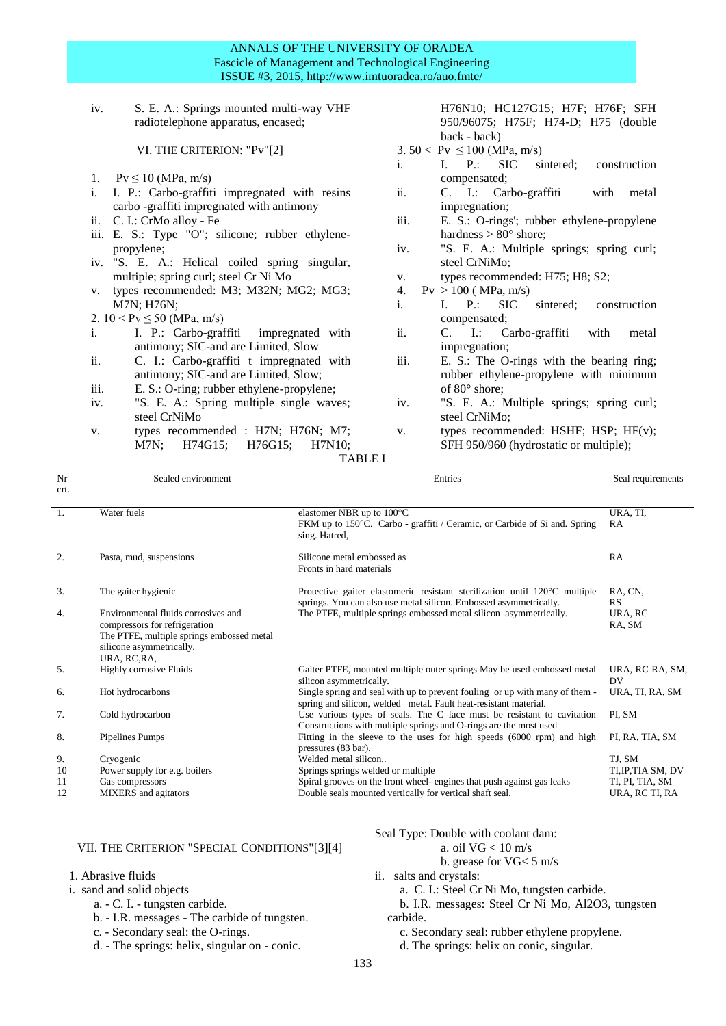## ANNALS OF THE UNIVERSITY OF ORADEA Fascicle of Management and Technological Engineering ISSUE #3, 2015, http://www.imtuoradea.ro/auo.fmte/

iv. S. E. A.: Springs mounted multi-way VHF radiotelephone apparatus, encased;

VI. THE CRITERION: "Pv"[2]

- 1.  $Pv \le 10$  (MPa, m/s)
- i. I. P.: Carbo-graffiti impregnated with resins carbo -graffiti impregnated with antimony
- ii. C. I.: CrMo alloy Fe
- iii. E. S.: Type "O"; silicone; rubber ethylenepropylene;
- iv. "S. E. A.: Helical coiled spring singular, multiple; spring curl; steel Cr Ni Mo
- v. types recommended: M3; M32N; MG2; MG3; M7N; H76N;
- 2.  $10 < Pv \le 50$  (MPa, m/s)
- i. I. P.: Carbo-graffiti impregnated with antimony; SIC-and are Limited, Slow
- ii. C. I.: Carbo-graffiti t impregnated with antimony; SIC-and are Limited, Slow;
- iii. E. S.: O-ring; rubber ethylene-propylene;
- iv. "S. E. A.: Spring multiple single waves; steel CrNiMo
- v. types recommended : H7N; H76N; M7; M7N; H74G15; H76G15; H7N10;

H76N10; HC127G15; H7F; H76F; SFH 950/96075; H75F; H74-D; H75 (double back - back)

- 3.  $50 < \text{Pv} \le 100 \text{ (MPa, m/s)}$
- i. I. P.: SIC sintered; construction compensated;<br>C. I.: Car
- ii. C. I.: Carbo-graffiti with metal impregnation;
- iii. E. S.: O-rings'; rubber ethylene-propylene hardness  $> 80^\circ$  shore;
- iv. "S. E. A.: Multiple springs; spring curl; steel CrNiMo;
- v. types recommended: H75; H8; S2;
- 4.  $P_v > 100$  (MPa, m/s)
- i. I. P.: SIC sintered; construction compensated;
- ii. C. I.: Carbo-graffiti with metal impregnation;
- iii. E. S.: The O-rings with the bearing ring; rubber ethylene-propylene with minimum of 80° shore;
- iv. "S. E. A.: Multiple springs; spring curl; steel CrNiMo;
- v. types recommended: HSHF; HSP; HF(v); SFH 950/960 (hydrostatic or multiple);

## TABLE I

| Nr               | Sealed environment                                                                                                                                            | Entries                                                                                                                                                   | Seal requirements     |
|------------------|---------------------------------------------------------------------------------------------------------------------------------------------------------------|-----------------------------------------------------------------------------------------------------------------------------------------------------------|-----------------------|
| crt.             |                                                                                                                                                               |                                                                                                                                                           |                       |
| -1.              | Water fuels                                                                                                                                                   | elastomer NBR up to $100^{\circ}$ C<br>FKM up to 150 °C. Carbo - graffiti / Ceramic, or Carbide of Si and. Spring<br>sing. Hatred,                        | URA, TI,<br>RA        |
| 2.               | Pasta, mud, suspensions                                                                                                                                       | Silicone metal embossed as<br>Fronts in hard materials                                                                                                    | RA                    |
| 3.               | The gaiter hygienic                                                                                                                                           | Protective gaiter elastomeric resistant sterilization until $120^{\circ}$ C multiple<br>springs. You can also use metal silicon. Embossed asymmetrically. | RA, CN,<br>RS         |
| $\overline{4}$ . | Environmental fluids corrosives and<br>compressors for refrigeration<br>The PTFE, multiple springs embossed metal<br>silicone asymmetrically.<br>URA, RC, RA, | The PTFE, multiple springs embossed metal silicon asymmetrically.                                                                                         | URA, RC<br>RA, SM     |
| 5.               | Highly corrosive Fluids                                                                                                                                       | Gaiter PTFE, mounted multiple outer springs May be used embossed metal<br>silicon asymmetrically.                                                         | URA, RC RA, SM,<br>DV |
| 6.               | Hot hydrocarbons                                                                                                                                              | Single spring and seal with up to prevent fouling or up with many of them -<br>spring and silicon, welded metal. Fault heat-resistant material.           | URA, TI, RA, SM       |
| 7.               | Cold hydrocarbon                                                                                                                                              | Use various types of seals. The C face must be resistant to cavitation<br>Constructions with multiple springs and O-rings are the most used               | PI, SM                |
| 8.               | Pipelines Pumps                                                                                                                                               | Fitting in the sleeve to the uses for high speeds (6000 rpm) and high<br>pressures (83 bar).                                                              | PI, RA, TIA, SM       |
| 9.               | Cryogenic                                                                                                                                                     | Welded metal silicon                                                                                                                                      | TJ, SM                |
| 10               | Power supply for e.g. boilers                                                                                                                                 | Springs springs welded or multiple                                                                                                                        | TI, IP, TIA SM, DV    |
| 11               | Gas compressors                                                                                                                                               | Spiral grooves on the front wheel- engines that push against gas leaks                                                                                    | TI, PI, TIA, SM       |
| 12               | <b>MIXERS</b> and agitators                                                                                                                                   | Double seals mounted vertically for vertical shaft seal.                                                                                                  | URA, RC TI, RA        |

#### VII. THE CRITERION "SPECIAL CONDITIONS"[3][4]

## 1. Abrasive fluids

- i. sand and solid objects
	- a. C. I. tungsten carbide.
	- b. I.R. messages The carbide of tungsten.
	- c. Secondary seal: the O-rings.
	- d. The springs: helix, singular on conic.

# Seal Type: Double with coolant dam:

#### a. oil VG < 10 m/s b. grease for VG< 5 m/s

- ii. salts and crystals:
	-
	- a. C. I.: Steel Cr Ni Mo, tungsten carbide.
	- b. I.R. messages: Steel Cr Ni Mo, Al2O3, tungsten carbide.
	- - c. Secondary seal: rubber ethylene propylene.
		- d. The springs: helix on conic, singular.